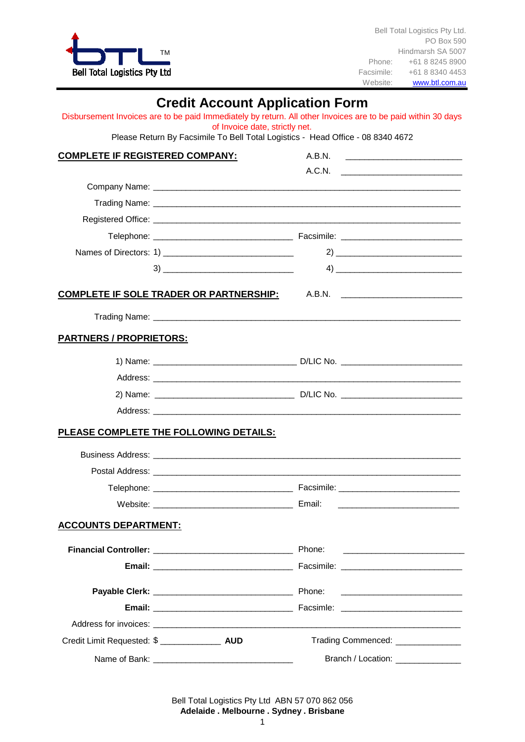

Bell Total Logistics Pty Ltd. PO Box 590 Hindmarsh SA 5007 Phone: +61 8 8245 8900 Facsimile: +61 8 8340 4453<br>Website: www.btl.com.au [www.btl.com.au](http://www.btl.com.au/)

## **Credit Account Application Form**

|                                        | Disbursement Invoices are to be paid Immediately by return. All other Invoices are to be paid within 30 days<br>of Invoice date, strictly net. |                                                                                                                                                                                                                                      |
|----------------------------------------|------------------------------------------------------------------------------------------------------------------------------------------------|--------------------------------------------------------------------------------------------------------------------------------------------------------------------------------------------------------------------------------------|
|                                        | Please Return By Facsimile To Bell Total Logistics - Head Office - 08 8340 4672                                                                |                                                                                                                                                                                                                                      |
| <b>COMPLETE IF REGISTERED COMPANY:</b> |                                                                                                                                                |                                                                                                                                                                                                                                      |
|                                        |                                                                                                                                                | A.C.N.                                                                                                                                                                                                                               |
|                                        |                                                                                                                                                |                                                                                                                                                                                                                                      |
|                                        |                                                                                                                                                |                                                                                                                                                                                                                                      |
|                                        |                                                                                                                                                |                                                                                                                                                                                                                                      |
|                                        |                                                                                                                                                |                                                                                                                                                                                                                                      |
|                                        |                                                                                                                                                |                                                                                                                                                                                                                                      |
|                                        |                                                                                                                                                |                                                                                                                                                                                                                                      |
|                                        | COMPLETE IF SOLE TRADER OR PARTNERSHIP: A.B.N. _________________________________                                                               |                                                                                                                                                                                                                                      |
|                                        |                                                                                                                                                |                                                                                                                                                                                                                                      |
| <b>PARTNERS / PROPRIETORS:</b>         |                                                                                                                                                |                                                                                                                                                                                                                                      |
|                                        |                                                                                                                                                |                                                                                                                                                                                                                                      |
|                                        |                                                                                                                                                |                                                                                                                                                                                                                                      |
|                                        |                                                                                                                                                |                                                                                                                                                                                                                                      |
|                                        |                                                                                                                                                |                                                                                                                                                                                                                                      |
|                                        | PLEASE COMPLETE THE FOLLOWING DETAILS:                                                                                                         |                                                                                                                                                                                                                                      |
|                                        |                                                                                                                                                |                                                                                                                                                                                                                                      |
|                                        |                                                                                                                                                |                                                                                                                                                                                                                                      |
|                                        |                                                                                                                                                |                                                                                                                                                                                                                                      |
|                                        |                                                                                                                                                |                                                                                                                                                                                                                                      |
| <b>ACCOUNTS DEPARTMENT:</b>            |                                                                                                                                                |                                                                                                                                                                                                                                      |
|                                        |                                                                                                                                                | <u> 1980 - Johann Barn, mars ann an t-Amhraich ann an t-Amhraich ann an t-Amhraich ann an t-Amhraich ann an t-Amhraich ann an t-Amhraich ann an t-Amhraich ann an t-Amhraich ann an t-Amhraich ann an t-Amhraich ann an t-Amhrai</u> |
|                                        |                                                                                                                                                |                                                                                                                                                                                                                                      |
|                                        |                                                                                                                                                |                                                                                                                                                                                                                                      |
|                                        |                                                                                                                                                |                                                                                                                                                                                                                                      |
|                                        |                                                                                                                                                |                                                                                                                                                                                                                                      |
|                                        |                                                                                                                                                | Trading Commenced: _____________                                                                                                                                                                                                     |
|                                        |                                                                                                                                                | Branch / Location: ______________                                                                                                                                                                                                    |